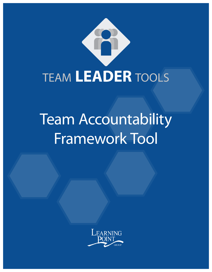

# Team Accountability Framework Tool

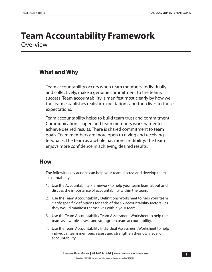### **Team Accountability Framework Overview**

#### **What and Why**

Team accountability occurs when team members, individually and collectively, make a genuine commitment to the team's success. Team accountability is manifest most clearly by how well the team establishes realistic expectations and then lives to those expectations.

Team accountability helps to build team trust and commitment. Communication is open and team members work harder to achieve desired results. There is shared commitment to team goals. Team members are more open to giving and receiving feedback. The team as a whole has more credibility. The team enjoys more confidence in achieving desired results.

#### **How**

The following key actions can help your team discuss and develop team accountability.

- 1. Use the Accountability Framework to help your team learn about and discuss the importance of accountability within the team.
- 2. Use the Team Accountability Definitions Worksheet to help your team clarify specific definitions for each of the six accountability factors - as they would manifest themselves within your team.
- 3. Use the Team Accountability Team Assessment Worksheet to help the team as a whole assess and strengthen team accountability.
- 4. Use the Team Accountability Individual Assessment Worksheet to help individual team members assess and strengthen their own level of accountability.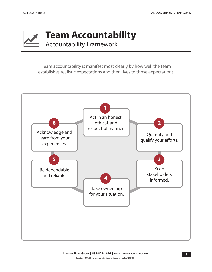

**Team Accountability** Accountability Framework

Team accountability is manifest most clearly by how well the team establishes realistic expectations and then lives to those expectations.

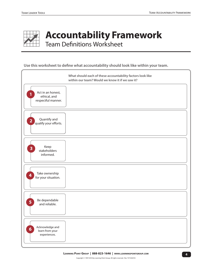

**Accountability Framework** Team Definitions Worksheet

**Use this worksheet to define what accountability should look like within your team.**

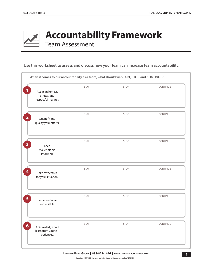

**Accountability Framework** Team Assessment

**Use this worksheet to assess and discuss how your team can increase team accountability.**

| Act in an honest,<br>ethical, and<br>respectful manner. | <b>START</b> | STOP        | CONTINUE |
|---------------------------------------------------------|--------------|-------------|----------|
| Quantify and<br>qualify your efforts.                   | <b>START</b> | STOP        | CONTINUE |
| Keep<br>stakeholders<br>informed.                       | <b>START</b> | STOP        | CONTINUE |
| Take ownership<br>for your situation.                   | START        | STOP        | CONTINUE |
| Be dependable<br>and reliable.                          | <b>START</b> | <b>STOP</b> | CONTINUE |
| Acknowledge and<br>learn from your ex-<br>periences.    | <b>START</b> | <b>STOP</b> | CONTINUE |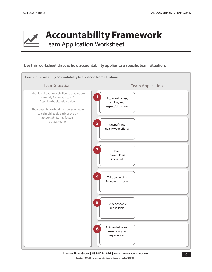

## **Accountability Framework** Team Application Worksheet

**Use this worksheet discuss how accountability applies to a specific team situation.**



Copyright © 1997/2018 by Learning Point Group. All rights reserved. Rev. TLT-042018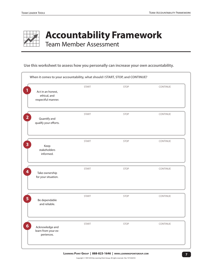

**Accountability Framework** Team Member Assessment

**Use this worksheet to assess how you personally can increase your own accountability.**

|                                                         | <b>START</b> | STOP        | CONTINUE |
|---------------------------------------------------------|--------------|-------------|----------|
| Act in an honest,<br>ethical, and<br>respectful manner. |              |             |          |
| Quantify and<br>qualify your efforts.                   | <b>START</b> | <b>STOP</b> | CONTINUE |
| Keep<br>stakeholders                                    | <b>START</b> | STOP        | CONTINUE |
| informed.                                               |              |             |          |
| Take ownership<br>for your situation.                   | <b>START</b> | <b>STOP</b> | CONTINUE |
| Be dependable<br>and reliable.                          | <b>START</b> | STOP        | CONTINUE |
| Acknowledge and<br>learn from your ex-<br>periences.    | <b>START</b> | <b>STOP</b> | CONTINUE |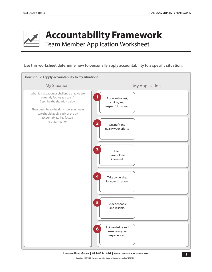

## **Accountability Framework**

Team Member Application Worksheet

#### **Use this worksheet determine how to personally apply accountability to a specific situation.**